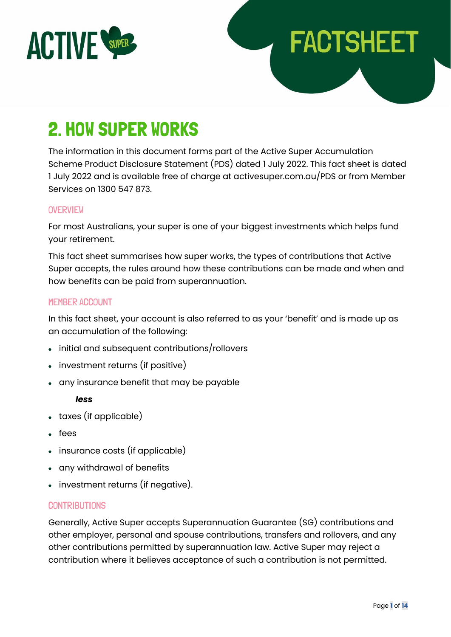

# 2. HOW SUPER WORKS

The information in this document forms part of the Active Super Accumulation Scheme Product Disclosure Statement (PDS) dated 1 July 2022. This fact sheet is dated 1 July 2022 and is available free of charge at activesuper.com.au/PDS or from Member Services on 1300 547 873.

**FACTSHEET** 

#### **OVERVIEW**

For most Australians, your super is one of your biggest investments which helps fund your retirement.

This fact sheet summarises how super works, the types of contributions that Active Super accepts, the rules around how these contributions can be made and when and how benefits can be paid from superannuation.

## MEMBER ACCOUNT

In this fact sheet, your account is also referred to as your 'benefit' and is made up as an accumulation of the following:

- initial and subsequent contributions/rollovers
- investment returns (if positive)
- any insurance benefit that may be payable

#### *less*

- taxes (if applicable)
- fees
- insurance costs (if applicable)
- any withdrawal of benefits
- investment returns (if negative).

#### **CONTRIBUTIONS**

Generally, Active Super accepts Superannuation Guarantee (SG) contributions and other employer, personal and spouse contributions, transfers and rollovers, and any other contributions permitted by superannuation law. Active Super may reject a contribution where it believes acceptance of such a contribution is not permitted.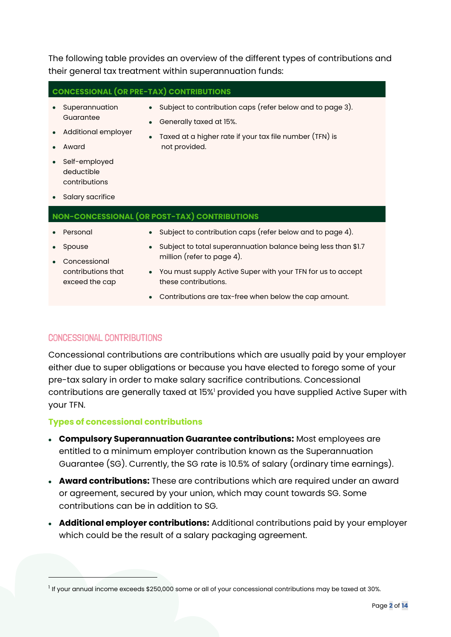The following table provides an overview of the different types of contributions and their general tax treatment within superannuation funds:

• Generally taxed at 15%.

**CONCESSIONAL (OR PRE-TAX) CONTRIBUTIONS**

- Superannuation Guarantee
- Additional employer
- Award

• Taxed at a higher rate if your tax file number (TFN) is not provided.

• Subject to contribution caps (refer below and to page 3).

• Self-employed deductible contributions

• Salary sacrifice

#### **NON-CONCESSIONAL (OR POST-TAX) CONTRIBUTIONS**

- **Personal**
- Spouse
- Subject to contribution caps (refer below and to page 4).
- Subject to total superannuation balance being less than \$1.7 million (refer to page 4).
- Concessional contributions that exceed the cap
- You must supply Active Super with your TFN for us to accept these contributions.
- Contributions are tax-free when below the cap amount.

## CONCESSIONAL CONTRIBUTIONS

Concessional contributions are contributions which are usually paid by your employer either due to super obligations or because you have elected to forego some of your pre-tax salary in order to make salary sacrifice contributions. Concessional contributions are generally taxed at 15%<sup>1</sup> provided you have supplied Active Super with your TFN.

#### **Types of concessional contributions**

- **Compulsory Superannuation Guarantee contributions:** Most employees are entitled to a minimum employer contribution known as the Superannuation Guarantee (SG). Currently, the SG rate is 10.5% of salary (ordinary time earnings).
- **Award contributions:** These are contributions which are required under an award or agreement, secured by your union, which may count towards SG. Some contributions can be in addition to SG.
- **Additional employer contributions:** Additional contributions paid by your employer which could be the result of a salary packaging agreement.

 $^{\rm 1}$  If your annual income exceeds \$250,000 some or all of your concessional contributions may be taxed at 30%.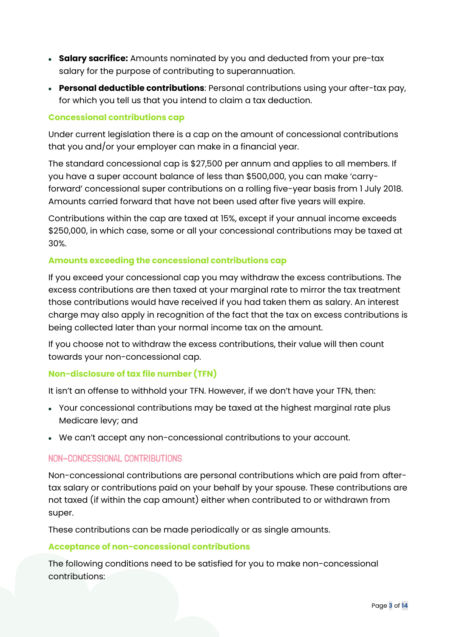- **Salary sacrifice:** Amounts nominated by you and deducted from your pre-tax salary for the purpose of contributing to superannuation.
- **Personal deductible contributions**: Personal contributions using your after-tax pay, for which you tell us that you intend to claim a tax deduction.

## **Concessional contributions cap**

Under current legislation there is a cap on the amount of concessional contributions that you and/or your employer can make in a financial year.

The standard concessional cap is \$27,500 per annum and applies to all members. If you have a super account balance of less than \$500,000, you can make 'carryforward' concessional super contributions on a rolling five-year basis from 1 July 2018. Amounts carried forward that have not been used after five years will expire.

Contributions within the cap are taxed at 15%, except if your annual income exceeds \$250,000, in which case, some or all your concessional contributions may be taxed at 30%.

## **Amounts exceeding the concessional contributions cap**

If you exceed your concessional cap you may withdraw the excess contributions. The excess contributions are then taxed at your marginal rate to mirror the tax treatment those contributions would have received if you had taken them as salary. An interest charge may also apply in recognition of the fact that the tax on excess contributions is being collected later than your normal income tax on the amount.

If you choose not to withdraw the excess contributions, their value will then count towards your non-concessional cap.

## **Non-disclosure of tax file number (TFN)**

It isn't an offense to withhold your TFN. However, if we don't have your TFN, then:

- Your concessional contributions may be taxed at the highest marginal rate plus Medicare levy; and
- We can't accept any non-concessional contributions to your account.

# NON-CONCESSIONAL CONTRIBUTIONS

Non-concessional contributions are personal contributions which are paid from aftertax salary or contributions paid on your behalf by your spouse. These contributions are not taxed (if within the cap amount) either when contributed to or withdrawn from super.

These contributions can be made periodically or as single amounts.

# **Acceptance of non-concessional contributions**

The following conditions need to be satisfied for you to make non-concessional contributions: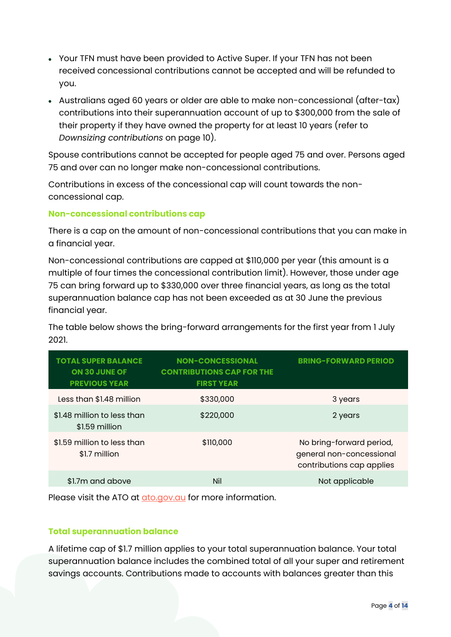- Your TFN must have been provided to Active Super. If your TFN has not been received concessional contributions cannot be accepted and will be refunded to you.
- Australians aged 60 years or older are able to make non-concessional (after-tax) contributions into their superannuation account of up to \$300,000 from the sale of their property if they have owned the property for at least 10 years (refer to *Downsizing contributions* on page 10).

Spouse contributions cannot be accepted for people aged 75 and over. Persons aged 75 and over can no longer make non-concessional contributions.

Contributions in excess of the concessional cap will count towards the nonconcessional cap.

## **Non-concessional contributions cap**

There is a cap on the amount of non-concessional contributions that you can make in a financial year.

Non-concessional contributions are capped at \$110,000 per year (this amount is a multiple of four times the concessional contribution limit). However, those under age 75 can bring forward up to \$330,000 over three financial years, as long as the total superannuation balance cap has not been exceeded as at 30 June the previous financial year.

The table below shows the bring-forward arrangements for the first year from 1 July 2021.

| <b>TOTAL SUPER BALANCE</b><br><b>ON 30 JUNE OF</b><br><b>PREVIOUS YEAR</b> | <b>NON-CONCESSIONAL</b><br><b>CONTRIBUTIONS CAP FOR THE</b><br><b>FIRST YEAR</b> | <b>BRING-FORWARD PERIOD</b>                                                       |
|----------------------------------------------------------------------------|----------------------------------------------------------------------------------|-----------------------------------------------------------------------------------|
| Less than \$1.48 million                                                   | \$330,000                                                                        | 3 years                                                                           |
| \$1.48 million to less than<br>\$1.59 million                              | \$220,000                                                                        | 2 years                                                                           |
| \$1.59 million to less than<br>\$1.7 million                               | \$110,000                                                                        | No bring-forward period,<br>general non-concessional<br>contributions cap applies |
| \$1.7m and above                                                           | Nil                                                                              | Not applicable                                                                    |

Please visit the ATO at [ato.gov.au](https://www.ato.gov.au/) for more information.

## **Total superannuation balance**

A lifetime cap of \$1.7 million applies to your total superannuation balance. Your total superannuation balance includes the combined total of all your super and retirement savings accounts. Contributions made to accounts with balances greater than this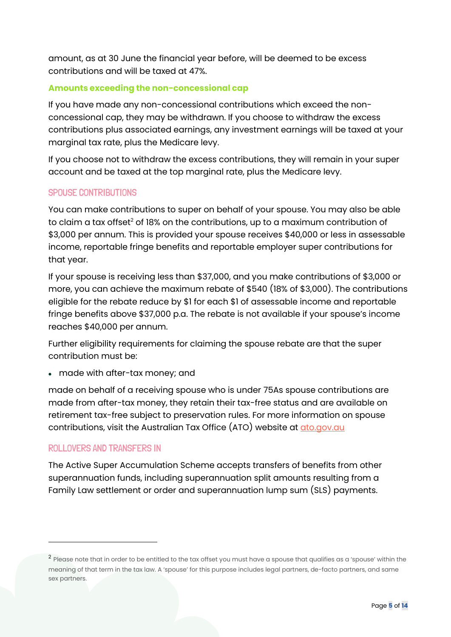amount, as at 30 June the financial year before, will be deemed to be excess contributions and will be taxed at 47%.

## **Amounts exceeding the non-concessional cap**

If you have made any non-concessional contributions which exceed the nonconcessional cap, they may be withdrawn. If you choose to withdraw the excess contributions plus associated earnings, any investment earnings will be taxed at your marginal tax rate, plus the Medicare levy.

If you choose not to withdraw the excess contributions, they will remain in your super account and be taxed at the top marginal rate, plus the Medicare levy.

# SPOUSE CONTRIBUTIONS

You can make contributions to super on behalf of your spouse. You may also be able to claim a tax offset<sup>2</sup> of 18% on the contributions, up to a maximum contribution of \$3,000 per annum. This is provided your spouse receives \$40,000 or less in assessable income, reportable fringe benefits and reportable employer super contributions for that year.

If your spouse is receiving less than \$37,000, and you make contributions of \$3,000 or more, you can achieve the maximum rebate of \$540 (18% of \$3,000). The contributions eligible for the rebate reduce by \$1 for each \$1 of assessable income and reportable fringe benefits above \$37,000 p.a. The rebate is not available if your spouse's income reaches \$40,000 per annum.

Further eligibility requirements for claiming the spouse rebate are that the super contribution must be:

• made with after-tax money; and

made on behalf of a receiving spouse who is under 75As spouse contributions are made from after-tax money, they retain their tax-free status and are available on retirement tax-free subject to preservation rules. For more information on spouse contributions, visit the Australian Tax Office (ATO) website at *ato.gov.au* 

# ROLLOVERS AND TRANSFERS IN

The Active Super Accumulation Scheme accepts transfers of benefits from other superannuation funds, including superannuation split amounts resulting from a Family Law settlement or order and superannuation lump sum (SLS) payments.

 $^{\sf 2}$  Please note that in order to be entitled to the tax offset you must have a spouse that qualifies as a 'spouse' within the meaning of that term in the tax law. A 'spouse' for this purpose includes legal partners, de-facto partners, and same sex partners.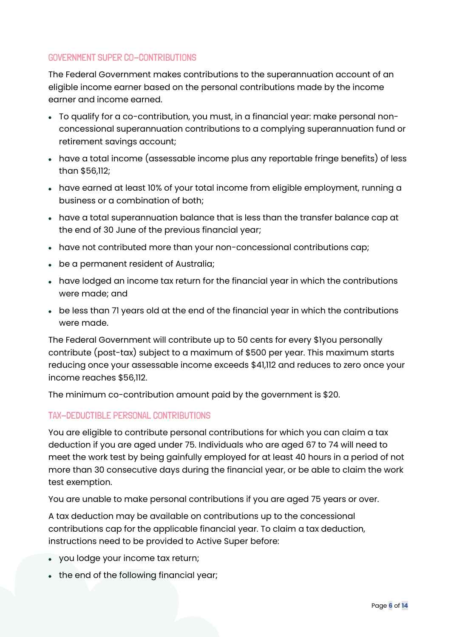# GOVERNMENT SUPER CO-CONTRIBUTIONS

The Federal Government makes contributions to the superannuation account of an eligible income earner based on the personal contributions made by the income earner and income earned.

- To qualify for a co-contribution, you must, in a financial year: make personal nonconcessional superannuation contributions to a complying superannuation fund or retirement savings account;
- have a total income (assessable income plus any reportable fringe benefits) of less than \$56,112;
- have earned at least 10% of your total income from eligible employment, running a business or a combination of both;
- have a total superannuation balance that is less than the transfer balance cap at the end of 30 June of the previous financial year;
- have not contributed more than your non-concessional contributions cap;
- be a permanent resident of Australia;
- have lodged an income tax return for the financial year in which the contributions were made; and
- be less than 71 years old at the end of the financial year in which the contributions were made.

The Federal Government will contribute up to 50 cents for every \$1you personally contribute (post-tax) subject to a maximum of \$500 per year. This maximum starts reducing once your assessable income exceeds \$41,112 and reduces to zero once your income reaches \$56,112.

The minimum co-contribution amount paid by the government is \$20.

# TAX-DEDUCTIBLE PERSONAL CONTRIBUTIONS

You are eligible to contribute personal contributions for which you can claim a tax deduction if you are aged under 75. Individuals who are aged 67 to 74 will need to meet the work test by being gainfully employed for at least 40 hours in a period of not more than 30 consecutive days during the financial year, or be able to claim the work test exemption.

You are unable to make personal contributions if you are aged 75 years or over.

A tax deduction may be available on contributions up to the concessional contributions cap for the applicable financial year. To claim a tax deduction, instructions need to be provided to Active Super before:

- you lodge your income tax return;
- the end of the following financial year;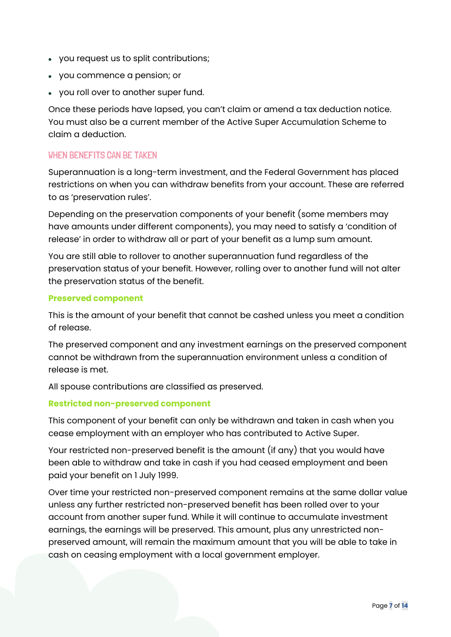- you request us to split contributions;
- you commence a pension; or
- you roll over to another super fund.

Once these periods have lapsed, you can't claim or amend a tax deduction notice. You must also be a current member of the Active Super Accumulation Scheme to claim a deduction.

## WHEN BENEFITS CAN BE TAKEN

Superannuation is a long-term investment, and the Federal Government has placed restrictions on when you can withdraw benefits from your account. These are referred to as 'preservation rules'.

Depending on the preservation components of your benefit (some members may have amounts under different components), you may need to satisfy a 'condition of release' in order to withdraw all or part of your benefit as a lump sum amount.

You are still able to rollover to another superannuation fund regardless of the preservation status of your benefit. However, rolling over to another fund will not alter the preservation status of the benefit.

#### **Preserved component**

This is the amount of your benefit that cannot be cashed unless you meet a condition of release.

The preserved component and any investment earnings on the preserved component cannot be withdrawn from the superannuation environment unless a condition of release is met.

All spouse contributions are classified as preserved.

## **Restricted non-preserved component**

This component of your benefit can only be withdrawn and taken in cash when you cease employment with an employer who has contributed to Active Super.

Your restricted non-preserved benefit is the amount (if any) that you would have been able to withdraw and take in cash if you had ceased employment and been paid your benefit on 1 July 1999.

Over time your restricted non-preserved component remains at the same dollar value unless any further restricted non-preserved benefit has been rolled over to your account from another super fund. While it will continue to accumulate investment earnings, the earnings will be preserved. This amount, plus any unrestricted nonpreserved amount, will remain the maximum amount that you will be able to take in cash on ceasing employment with a local government employer.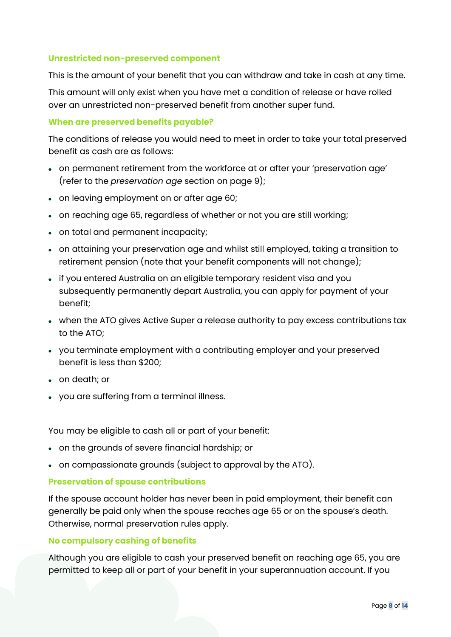### **Unrestricted non-preserved component**

This is the amount of your benefit that you can withdraw and take in cash at any time.

This amount will only exist when you have met a condition of release or have rolled over an unrestricted non-preserved benefit from another super fund.

#### **When are preserved benefits payable?**

The conditions of release you would need to meet in order to take your total preserved benefit as cash are as follows:

- on permanent retirement from the workforce at or after your 'preservation age' (refer to the *preservation age* section on page 9);
- on leaving employment on or after age 60;
- on reaching age 65, regardless of whether or not you are still working;
- on total and permanent incapacity;
- on attaining your preservation age and whilst still employed, taking a transition to retirement pension (note that your benefit components will not change);
- if you entered Australia on an eligible temporary resident visa and you subsequently permanently depart Australia, you can apply for payment of your benefit;
- when the ATO gives Active Super a release authority to pay excess contributions tax to the ATO;
- you terminate employment with a contributing employer and your preserved benefit is less than \$200;
- on death; or
- you are suffering from a terminal illness.

You may be eligible to cash all or part of your benefit:

- on the grounds of severe financial hardship; or
- on compassionate grounds (subject to approval by the ATO).

#### **Preservation of spouse contributions**

If the spouse account holder has never been in paid employment, their benefit can generally be paid only when the spouse reaches age 65 or on the spouse's death. Otherwise, normal preservation rules apply.

#### **No compulsory cashing of benefits**

Although you are eligible to cash your preserved benefit on reaching age 65, you are permitted to keep all or part of your benefit in your superannuation account. If you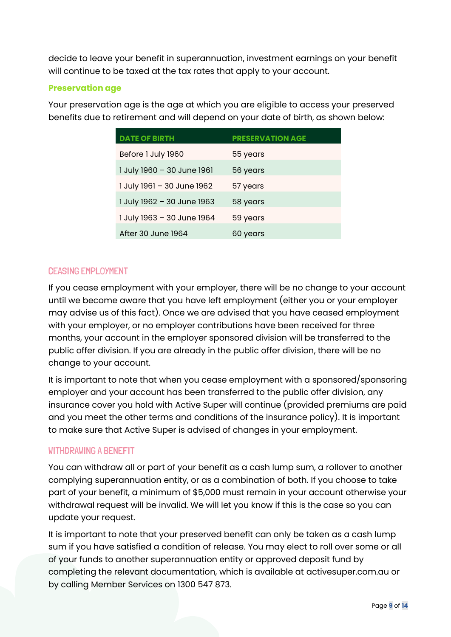decide to leave your benefit in superannuation, investment earnings on your benefit will continue to be taxed at the tax rates that apply to your account.

## **Preservation age**

Your preservation age is the age at which you are eligible to access your preserved benefits due to retirement and will depend on your date of birth, as shown below:

| <b>DATE OF BIRTH</b>       | <b>PRESERVATION AGE</b> |
|----------------------------|-------------------------|
| Before 1 July 1960         | 55 years                |
| 1 July 1960 - 30 June 1961 | 56 years                |
| 1 July 1961 - 30 June 1962 | 57 years                |
| 1 July 1962 - 30 June 1963 | 58 years                |
| 1 July 1963 - 30 June 1964 | 59 years                |
| After 30 June 1964         | 60 years                |

# CEASING EMPLOYMENT

If you cease employment with your employer, there will be no change to your account until we become aware that you have left employment (either you or your employer may advise us of this fact). Once we are advised that you have ceased employment with your employer, or no employer contributions have been received for three months, your account in the employer sponsored division will be transferred to the public offer division. If you are already in the public offer division, there will be no change to your account.

It is important to note that when you cease employment with a sponsored/sponsoring employer and your account has been transferred to the public offer division, any insurance cover you hold with Active Super will continue (provided premiums are paid and you meet the other terms and conditions of the insurance policy). It is important to make sure that Active Super is advised of changes in your employment.

# WITHDRAWING A BENEFIT

You can withdraw all or part of your benefit as a cash lump sum, a rollover to another complying superannuation entity, or as a combination of both. If you choose to take part of your benefit, a minimum of \$5,000 must remain in your account otherwise your withdrawal request will be invalid. We will let you know if this is the case so you can update your request.

It is important to note that your preserved benefit can only be taken as a cash lump sum if you have satisfied a condition of release. You may elect to roll over some or all of your funds to another superannuation entity or approved deposit fund by completing the relevant documentation, which is available at activesuper.com.au or by calling Member Services on 1300 547 873.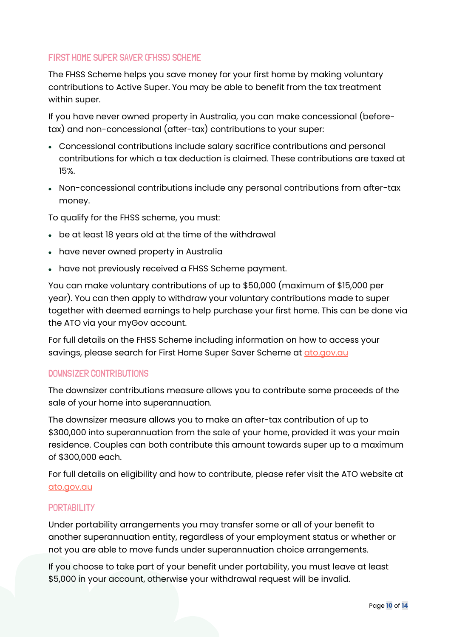# FIRST HOME SUPER SAVER (FHSS) SCHEME

The FHSS Scheme helps you save money for your first home by making voluntary contributions to Active Super. You may be able to benefit from the tax treatment within super.

If you have never owned property in Australia, you can make concessional (beforetax) and non-concessional (after-tax) contributions to your super:

- Concessional contributions include salary sacrifice contributions and personal contributions for which a tax deduction is claimed. These contributions are taxed at 15%.
- Non-concessional contributions include any personal contributions from after-tax money.

To qualify for the FHSS scheme, you must:

- be at least 18 years old at the time of the withdrawal
- have never owned property in Australia
- have not previously received a FHSS Scheme payment.

You can make voluntary contributions of up to \$50,000 (maximum of \$15,000 per year). You can then apply to withdraw your voluntary contributions made to super together with deemed earnings to help purchase your first home. This can be done via the ATO via your myGov account.

For full details on the FHSS Scheme including information on how to access your savings, please search for First Home Super Saver Scheme at [ato.gov.au](https://www.ato.gov.au/)

## DOWNSIZER CONTRIBUTIONS

The downsizer contributions measure allows you to contribute some proceeds of the sale of your home into superannuation.

The downsizer measure allows you to make an after-tax contribution of up to \$300,000 into superannuation from the sale of your home, provided it was your main residence. Couples can both contribute this amount towards super up to a maximum of \$300,000 each.

For full details on eligibility and how to contribute, please refer visit the ATO website at [ato.gov.au](https://www.ato.gov.au/)

## **PORTABILITY**

Under portability arrangements you may transfer some or all of your benefit to another superannuation entity, regardless of your employment status or whether or not you are able to move funds under superannuation choice arrangements.

If you choose to take part of your benefit under portability, you must leave at least \$5,000 in your account, otherwise your withdrawal request will be invalid.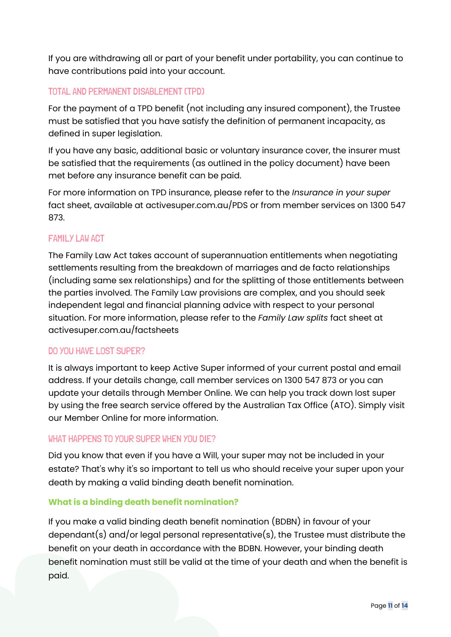If you are withdrawing all or part of your benefit under portability, you can continue to have contributions paid into your account.

# TOTAL AND PERMANENT DISABLEMENT (TPD)

For the payment of a TPD benefit (not including any insured component), the Trustee must be satisfied that you have satisfy the definition of permanent incapacity, as defined in super legislation.

If you have any basic, additional basic or voluntary insurance cover, the insurer must be satisfied that the requirements (as outlined in the policy document) have been met before any insurance benefit can be paid.

For more information on TPD insurance, please refer to the *Insurance in your super* fact sheet, available at activesuper.com.au/PDS or from member services on 1300 547 873.

# FAMILY LAW ACT

The Family Law Act takes account of superannuation entitlements when negotiating settlements resulting from the breakdown of marriages and de facto relationships (including same sex relationships) and for the splitting of those entitlements between the parties involved. The Family Law provisions are complex, and you should seek independent legal and financial planning advice with respect to your personal situation. For more information, please refer to the *Family Law splits* fact sheet at activesuper.com.au/factsheets

# DO YOU HAVE LOST SUPER?

It is always important to keep Active Super informed of your current postal and email address. If your details change, call member services on 1300 547 873 or you can update your details through Member Online. We can help you track down lost super by using the free search service offered by the Australian Tax Office (ATO). Simply visit our Member Online for more information.

# WHAT HAPPENS TO YOUR SUPER WHEN YOU DIE?

Did you know that even if you have a Will, your super may not be included in your estate? That's why it's so important to tell us who should receive your super upon your death by making a valid binding death benefit nomination.

# **What is a binding death benefit nomination?**

If you make a valid binding death benefit nomination (BDBN) in favour of your dependant(s) and/or legal personal representative(s), the Trustee must distribute the benefit on your death in accordance with the BDBN. However, your binding death benefit nomination must still be valid at the time of your death and when the benefit is paid.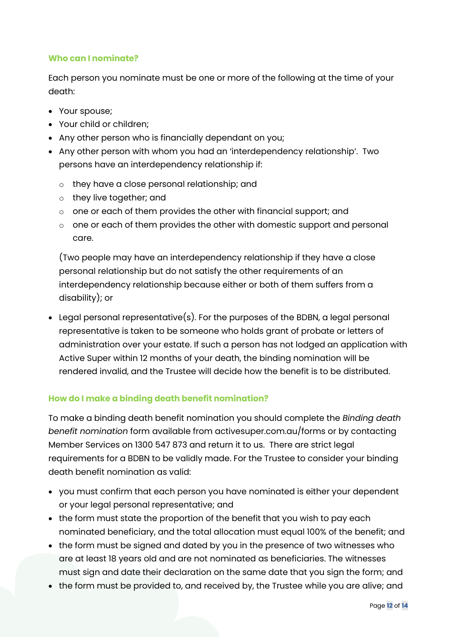## **Who can I nominate?**

Each person you nominate must be one or more of the following at the time of your death:

- Your spouse;
- Your child or children;
- Any other person who is financially dependant on you;
- Any other person with whom you had an 'interdependency relationship'. Two persons have an interdependency relationship if:
	- o they have a close personal relationship; and
	- o they live together; and
	- o one or each of them provides the other with financial support; and
	- o one or each of them provides the other with domestic support and personal care.

(Two people may have an interdependency relationship if they have a close personal relationship but do not satisfy the other requirements of an interdependency relationship because either or both of them suffers from a disability); or

• Legal personal representative(s). For the purposes of the BDBN, a legal personal representative is taken to be someone who holds grant of probate or letters of administration over your estate. If such a person has not lodged an application with Active Super within 12 months of your death, the binding nomination will be rendered invalid, and the Trustee will decide how the benefit is to be distributed.

# **How do I make a binding death benefit nomination?**

To make a binding death benefit nomination you should complete the *Binding death benefit nomination* form available from activesuper.com.au/forms or by contacting Member Services on 1300 547 873 and return it to us. There are strict legal requirements for a BDBN to be validly made. For the Trustee to consider your binding death benefit nomination as valid:

- you must confirm that each person you have nominated is either your dependent or your legal personal representative; and
- the form must state the proportion of the benefit that you wish to pay each nominated beneficiary, and the total allocation must equal 100% of the benefit; and
- the form must be signed and dated by you in the presence of two witnesses who are at least 18 years old and are not nominated as beneficiaries. The witnesses must sign and date their declaration on the same date that you sign the form; and
- the form must be provided to, and received by, the Trustee while you are alive; and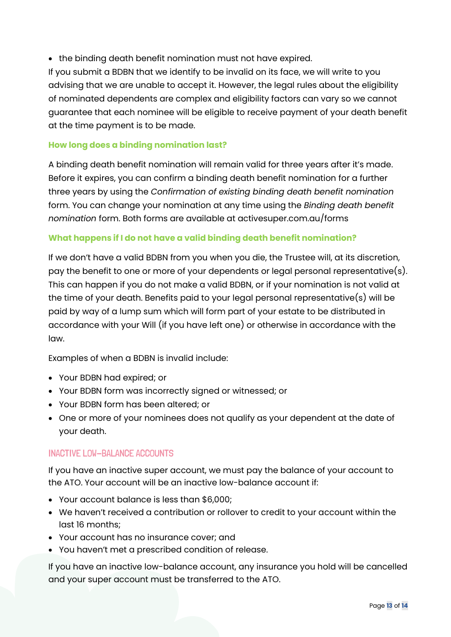• the binding death benefit nomination must not have expired.

If you submit a BDBN that we identify to be invalid on its face, we will write to you advising that we are unable to accept it. However, the legal rules about the eligibility of nominated dependents are complex and eligibility factors can vary so we cannot guarantee that each nominee will be eligible to receive payment of your death benefit at the time payment is to be made.

## **How long does a binding nomination last?**

A binding death benefit nomination will remain valid for three years after it's made. Before it expires, you can confirm a binding death benefit nomination for a further three years by using the *Confirmation of existing binding death benefit nomination*  form. You can change your nomination at any time using the *Binding death benefit nomination* form. Both forms are available at activesuper.com.au/forms

## **What happens if I do not have a valid binding death benefit nomination?**

If we don't have a valid BDBN from you when you die, the Trustee will, at its discretion, pay the benefit to one or more of your dependents or legal personal representative(s). This can happen if you do not make a valid BDBN, or if your nomination is not valid at the time of your death. Benefits paid to your legal personal representative(s) will be paid by way of a lump sum which will form part of your estate to be distributed in accordance with your Will (if you have left one) or otherwise in accordance with the law.

Examples of when a BDBN is invalid include:

- Your BDBN had expired; or
- Your BDBN form was incorrectly signed or witnessed; or
- Your BDBN form has been altered; or
- One or more of your nominees does not qualify as your dependent at the date of your death.

# INACTIVE LOW-BALANCE ACCOUNTS

If you have an inactive super account, we must pay the balance of your account to the ATO. Your account will be an inactive low-balance account if:

- Your account balance is less than \$6,000;
- We haven't received a contribution or rollover to credit to your account within the last 16 months;
- Your account has no insurance cover; and
- You haven't met a prescribed condition of release.

If you have an inactive low-balance account, any insurance you hold will be cancelled and your super account must be transferred to the ATO.